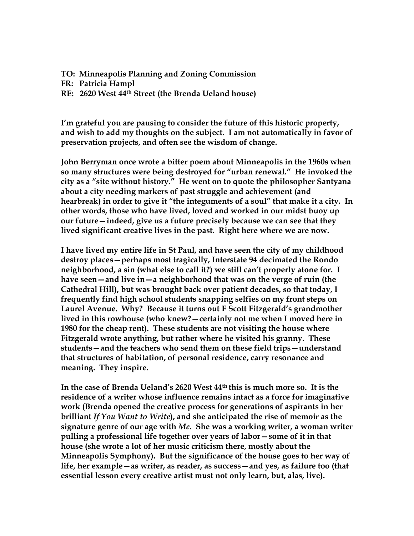**TO: Minneapolis Planning and Zoning Commission**

**FR: Patricia Hampl**

**RE: 2620 West 44th Street (the Brenda Ueland house)**

**I'm grateful you are pausing to consider the future of this historic property, and wish to add my thoughts on the subject. I am not automatically in favor of preservation projects, and often see the wisdom of change.**

**John Berryman once wrote a bitter poem about Minneapolis in the 1960s when so many structures were being destroyed for "urban renewal." He invoked the city as a "site without history." He went on to quote the philosopher Santyana about a city needing markers of past struggle and achievement (and hearbreak) in order to give it "the integuments of a soul" that make it a city. In other words, those who have lived, loved and worked in our midst buoy up our future—indeed, give us a future precisely because we can see that they lived significant creative lives in the past. Right here where we are now.**

**I have lived my entire life in St Paul, and have seen the city of my childhood destroy places—perhaps most tragically, Interstate 94 decimated the Rondo neighborhood, a sin (what else to call it?) we still can't properly atone for. I have seen—and live in—a neighborhood that was on the verge of ruin (the Cathedral Hill), but was brought back over patient decades, so that today, I frequently find high school students snapping selfies on my front steps on Laurel Avenue. Why? Because it turns out F Scott Fitzgerald's grandmother lived in this rowhouse (who knew?—certainly not me when I moved here in 1980 for the cheap rent). These students are not visiting the house where Fitzgerald wrote anything, but rather where he visited his granny. These students—and the teachers who send them on these field trips—understand that structures of habitation, of personal residence, carry resonance and meaning. They inspire.**

**In the case of Brenda Ueland's 2620 West 44th this is much more so. It is the residence of a writer whose influence remains intact as a force for imaginative work (Brenda opened the creative process for generations of aspirants in her brilliant** *If You Want to Write***), and she anticipated the rise of memoir as the signature genre of our age with** *Me***. She was a working writer, a woman writer pulling a professional life together over years of labor—some of it in that house (she wrote a lot of her music criticism there, mostly about the Minneapolis Symphony). But the significance of the house goes to her way of life, her example—as writer, as reader, as success—and yes, as failure too (that essential lesson every creative artist must not only learn, but, alas, live).**